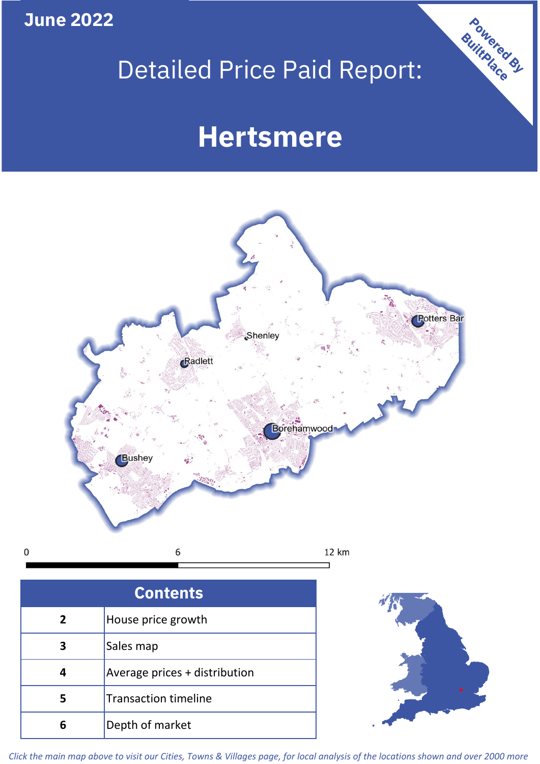**June 2022**

# Detailed Price Paid Report:

# **Hertsmere**



 $\mathbf 0$ 

| <b>Contents</b> |                               |  |  |
|-----------------|-------------------------------|--|--|
| 2               | House price growth            |  |  |
| 3               | Sales map                     |  |  |
| 4               | Average prices + distribution |  |  |
| 5               | <b>Transaction timeline</b>   |  |  |
| 6               | Depth of market               |  |  |



Powered By

*Click the main map above to visit our Cities, Towns & Villages page, for local analysis of the locations shown and over 2000 more*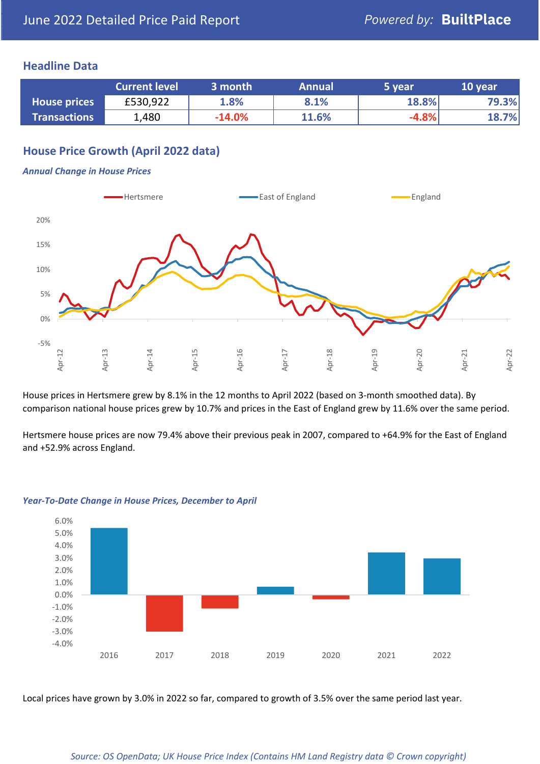### **Headline Data**

|                     | <b>Current level</b> | 3 month  | <b>Annual</b> | 5 year  | 10 year |
|---------------------|----------------------|----------|---------------|---------|---------|
| <b>House prices</b> | £530,922             | 1.8%     | 8.1%          | 18.8%   | 79.3%   |
| <b>Transactions</b> | 1,480                | $-14.0%$ | 11.6%         | $-4.8%$ | 18.7%   |

# **House Price Growth (April 2022 data)**

#### *Annual Change in House Prices*



House prices in Hertsmere grew by 8.1% in the 12 months to April 2022 (based on 3-month smoothed data). By comparison national house prices grew by 10.7% and prices in the East of England grew by 11.6% over the same period.

Hertsmere house prices are now 79.4% above their previous peak in 2007, compared to +64.9% for the East of England and +52.9% across England.



#### *Year-To-Date Change in House Prices, December to April*

Local prices have grown by 3.0% in 2022 so far, compared to growth of 3.5% over the same period last year.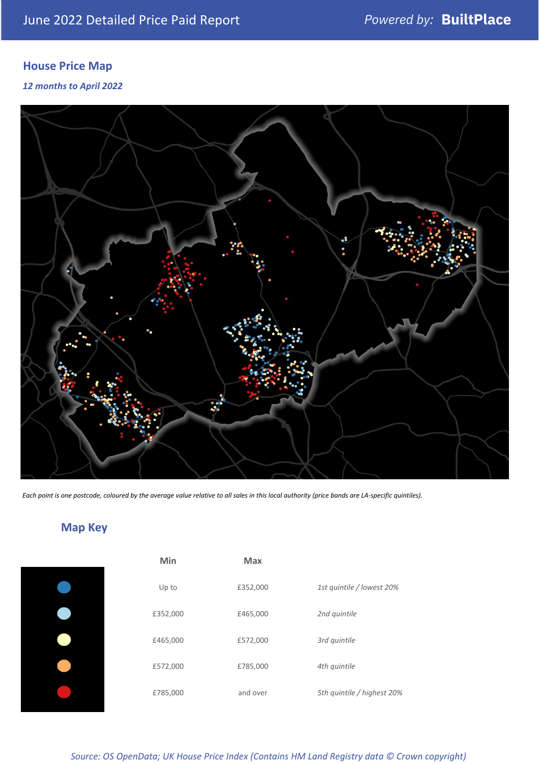# **House Price Map**

*12 months to April 2022*



*Each point is one postcode, coloured by the average value relative to all sales in this local authority (price bands are LA-specific quintiles).*

# **Map Key**

| Min      | <b>Max</b> |              |
|----------|------------|--------------|
| Up to    | £352,000   | 1st quintile |
| £352,000 | £465,000   | 2nd quintile |
| £465,000 | £572,000   | 3rd quintile |
| £572,000 | £785,000   | 4th quintile |
| £785,000 | and over   | 5th quintile |
|          |            |              |

*Source: OS OpenData; UK House Price Index (Contains HM Land Registry data © Crown copyright)*

0% Up to £352,000 *1st quintile / lowest 20%*

5th quintile / highest 20%

2nd quintile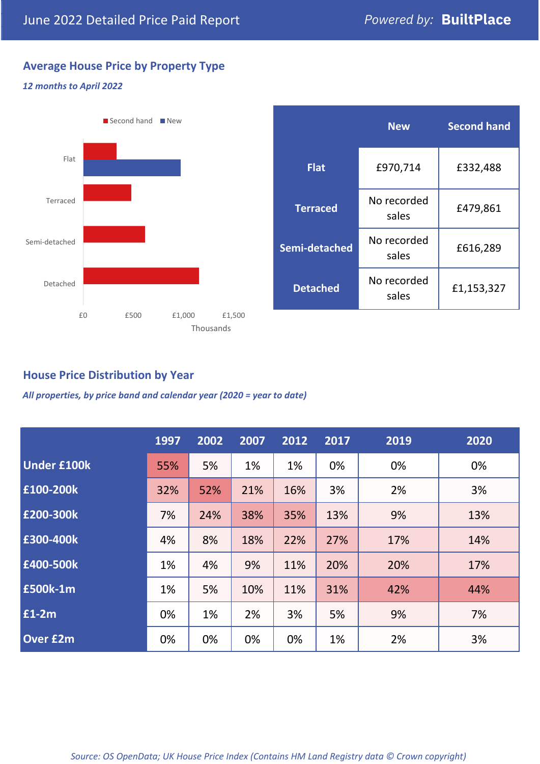# **Average House Price by Property Type**

#### *12 months to April 2022*



|                 | <b>New</b>           | <b>Second hand</b> |  |
|-----------------|----------------------|--------------------|--|
| <b>Flat</b>     | £970,714             | £332,488           |  |
| <b>Terraced</b> | No recorded<br>sales | £479,861           |  |
| Semi-detached   | No recorded<br>sales | £616,289           |  |
| <b>Detached</b> | No recorded<br>sales | £1,153,327         |  |

## **House Price Distribution by Year**

*All properties, by price band and calendar year (2020 = year to date)*

|                    | 1997 | 2002 | 2007 | 2012 | 2017 | 2019 | 2020 |
|--------------------|------|------|------|------|------|------|------|
| <b>Under £100k</b> | 55%  | 5%   | 1%   | 1%   | 0%   | 0%   | 0%   |
| £100-200k          | 32%  | 52%  | 21%  | 16%  | 3%   | 2%   | 3%   |
| E200-300k          | 7%   | 24%  | 38%  | 35%  | 13%  | 9%   | 13%  |
| £300-400k          | 4%   | 8%   | 18%  | 22%  | 27%  | 17%  | 14%  |
| £400-500k          | 1%   | 4%   | 9%   | 11%  | 20%  | 20%  | 17%  |
| <b>£500k-1m</b>    | 1%   | 5%   | 10%  | 11%  | 31%  | 42%  | 44%  |
| £1-2m              | 0%   | 1%   | 2%   | 3%   | 5%   | 9%   | 7%   |
| <b>Over £2m</b>    | 0%   | 0%   | 0%   | 0%   | 1%   | 2%   | 3%   |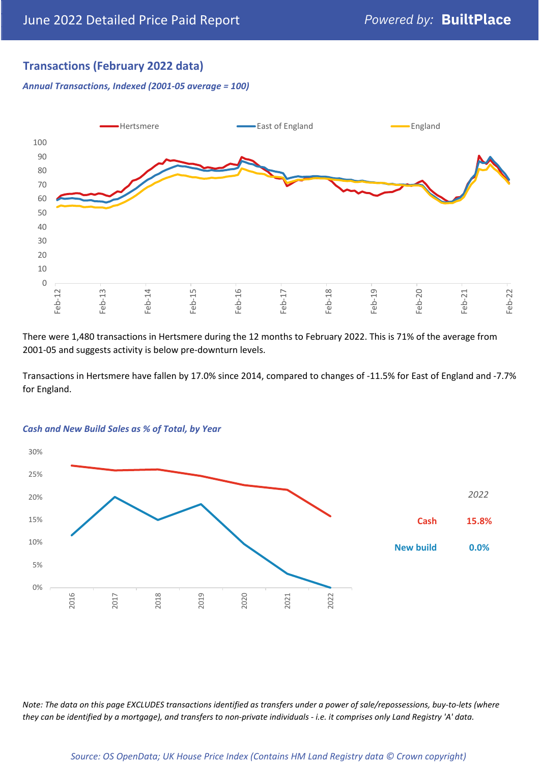# **Transactions (February 2022 data)**

*Annual Transactions, Indexed (2001-05 average = 100)*



There were 1,480 transactions in Hertsmere during the 12 months to February 2022. This is 71% of the average from 2001-05 and suggests activity is below pre-downturn levels.

Transactions in Hertsmere have fallen by 17.0% since 2014, compared to changes of -11.5% for East of England and -7.7% for England.



#### *Cash and New Build Sales as % of Total, by Year*

*Note: The data on this page EXCLUDES transactions identified as transfers under a power of sale/repossessions, buy-to-lets (where they can be identified by a mortgage), and transfers to non-private individuals - i.e. it comprises only Land Registry 'A' data.*